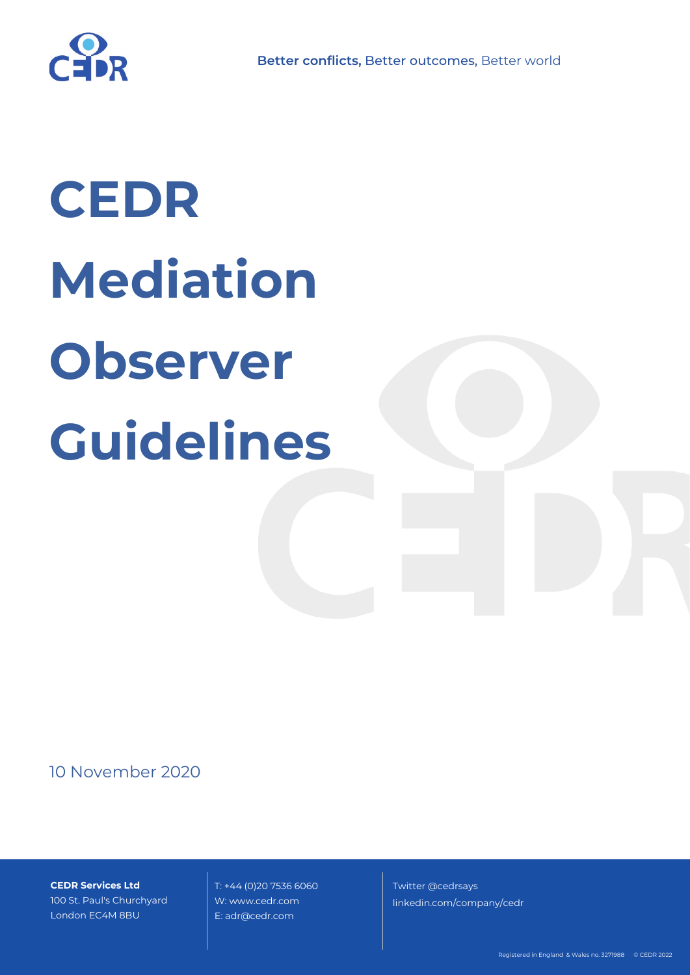

# **CEDR Mediation Observer Guidelines**

## 10 November 2020

**CEDR Services Ltd** 100 St. Paul's Churchyard London EC4M 8BU

 T: +44 (0)20 7536 6060 W: www.cedr.com E: adr@cedr.com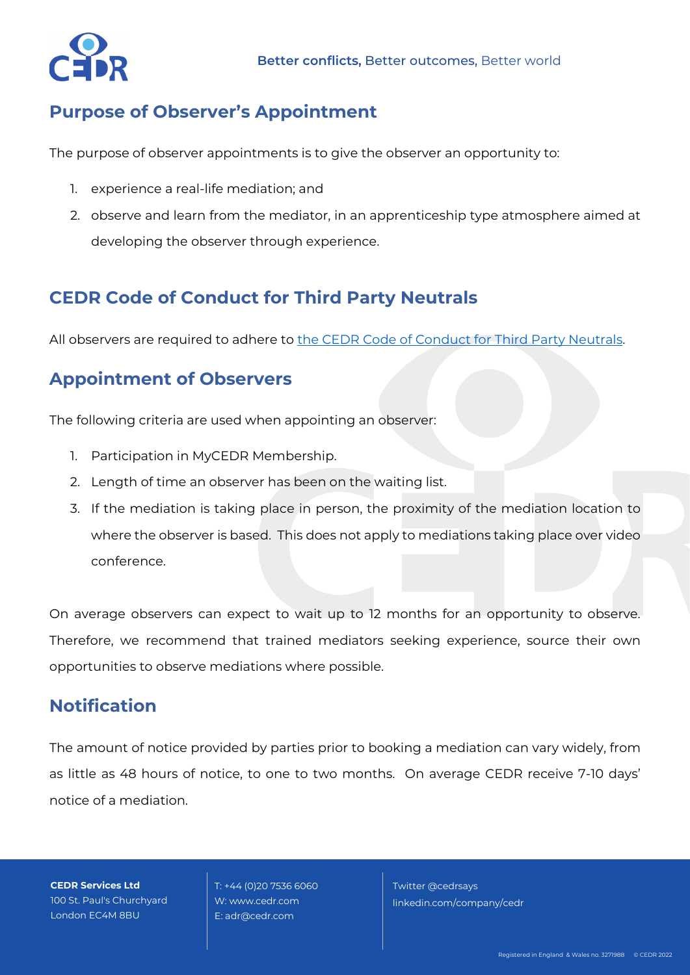

#### **Purpose of Observer's Appointment**

The purpose of observer appointments is to give the observer an opportunity to:

- 1. experience a real-life mediation; and
- 2. observe and learn from the mediator, in an apprenticeship type atmosphere aimed at developing the observer through experience.

#### **CEDR Code of Conduct for Third Party Neutrals**

All observers are required to adhere to [the CEDR Code of Conduct for Third Party Neutrals.](https://www.cedr.com/wp-content/uploads/2020/01/Code-of-Conduct-for-Third-Party-Neutrals.pdf)

#### **Appointment of Observers**

The following criteria are used when appointing an observer:

- 1. Participation in MyCEDR Membership.
- 2. Length of time an observer has been on the waiting list.
- 3. If the mediation is taking place in person, the proximity of the mediation location to where the observer is based. This does not apply to mediations taking place over video conference.

On average observers can expect to wait up to 12 months for an opportunity to observe. Therefore, we recommend that trained mediators seeking experience, source their own opportunities to observe mediations where possible.

#### **Notification**

The amount of notice provided by parties prior to booking a mediation can vary widely, from as little as 48 hours of notice, to one to two months. On average CEDR receive 7-10 days' notice of a mediation.

**CEDR Services Ltd** 100 St. Paul's Churchyard London EC4M 8BU

 T: +44 (0)20 7536 6060 W: www.cedr.com E: adr@cedr.com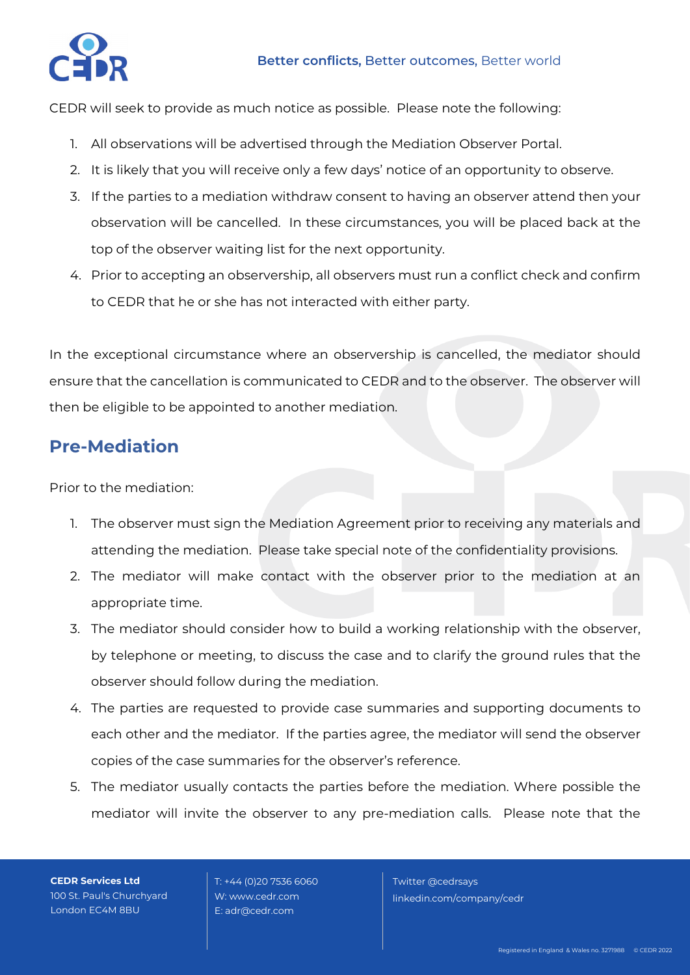

CEDR will seek to provide as much notice as possible. Please note the following:

- 1. All observations will be advertised through the Mediation Observer Portal.
- 2. It is likely that you will receive only a few days' notice of an opportunity to observe.
- 3. If the parties to a mediation withdraw consent to having an observer attend then your observation will be cancelled. In these circumstances, you will be placed back at the top of the observer waiting list for the next opportunity.
- 4. Prior to accepting an observership, all observers must run a conflict check and confirm to CEDR that he or she has not interacted with either party.

In the exceptional circumstance where an observership is cancelled, the mediator should ensure that the cancellation is communicated to CEDR and to the observer. The observer will then be eligible to be appointed to another mediation.

## **Pre-Mediation**

Prior to the mediation:

- 1. The observer must sign the Mediation Agreement prior to receiving any materials and attending the mediation. Please take special note of the confidentiality provisions.
- 2. The mediator will make contact with the observer prior to the mediation at an appropriate time.
- 3. The mediator should consider how to build a working relationship with the observer, by telephone or meeting, to discuss the case and to clarify the ground rules that the observer should follow during the mediation.
- 4. The parties are requested to provide case summaries and supporting documents to each other and the mediator. If the parties agree, the mediator will send the observer copies of the case summaries for the observer's reference.
- 5. The mediator usually contacts the parties before the mediation. Where possible the mediator will invite the observer to any pre-mediation calls. Please note that the

**CEDR Services Ltd** 100 St. Paul's Churchyard London EC4M 8BU

 T: +44 (0)20 7536 6060 W: www.cedr.com E: adr@cedr.com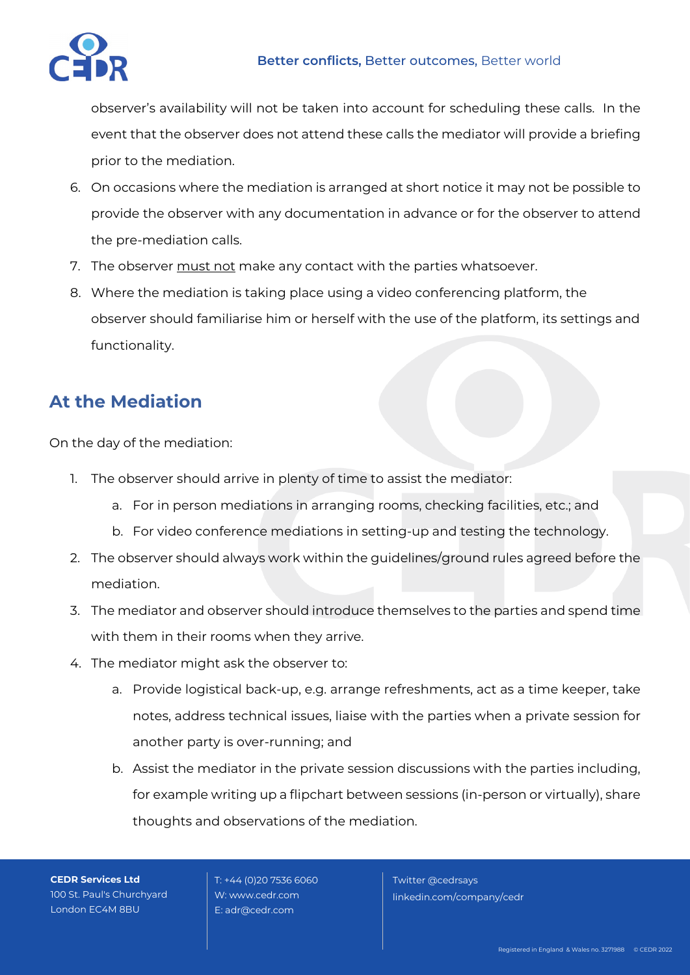

observer's availability will not be taken into account for scheduling these calls. In the event that the observer does not attend these calls the mediator will provide a briefing prior to the mediation.

- 6. On occasions where the mediation is arranged at short notice it may not be possible to provide the observer with any documentation in advance or for the observer to attend the pre-mediation calls.
- 7. The observer must not make any contact with the parties whatsoever.
- 8. Where the mediation is taking place using a video conferencing platform, the observer should familiarise him or herself with the use of the platform, its settings and functionality.

# **At the Mediation**

On the day of the mediation:

- 1. The observer should arrive in plenty of time to assist the mediator:
	- a. For in person mediations in arranging rooms, checking facilities, etc.; and
	- b. For video conference mediations in setting-up and testing the technology.
- 2. The observer should always work within the guidelines/ground rules agreed before the mediation.
- 3. The mediator and observer should introduce themselves to the parties and spend time with them in their rooms when they arrive.
- 4. The mediator might ask the observer to:
	- a. Provide logistical back-up, e.g. arrange refreshments, act as a time keeper, take notes, address technical issues, liaise with the parties when a private session for another party is over-running; and
	- b. Assist the mediator in the private session discussions with the parties including, for example writing up a flipchart between sessions (in-person or virtually), share thoughts and observations of the mediation.

**CEDR Services Ltd** 100 St. Paul's Churchyard London EC4M 8BU

 T: +44 (0)20 7536 6060 W: www.cedr.com E: adr@cedr.com